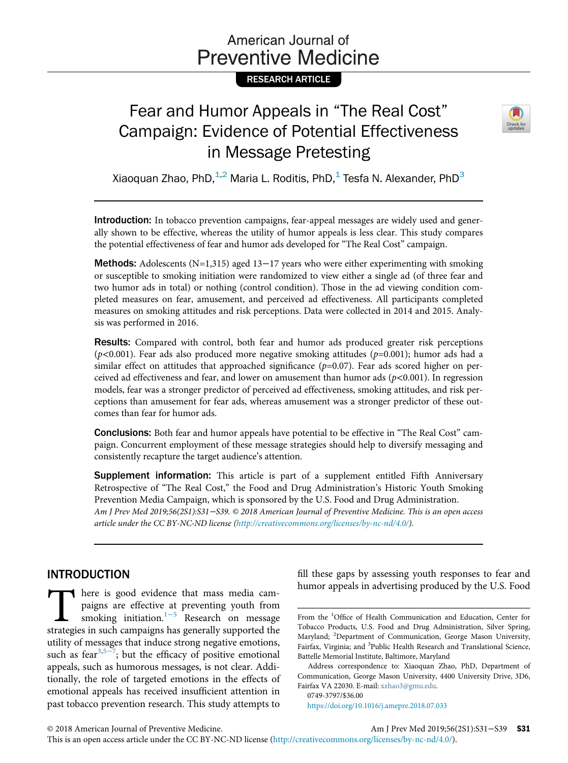# American Journal of **Preventive Medicine**

## RESEARCH ARTICLE

# Fear and Humor Appeals in "The Real Cost" Campaign: Evidence of Potential Effectiveness in Message Pretesting



Xiaoquan Zhao, PhD, $^{1,2}$  Maria L. Roditis, PhD, $^{1}$  Tesfa N. Alexander, PhD $^{3}$ 

Introduction: In tobacco prevention campaigns, fear-appeal messages are widely used and generally shown to be effective, whereas the utility of humor appeals is less clear. This study compares the potential effectiveness of fear and humor ads developed for "The Real Cost" campaign.

**Methods:** Adolescents (N=1,315) aged 13–17 years who were either experimenting with smoking or susceptible to smoking initiation were randomized to view either a single ad (of three fear and two humor ads in total) or nothing (control condition). Those in the ad viewing condition completed measures on fear, amusement, and perceived ad effectiveness. All participants completed measures on smoking attitudes and risk perceptions. Data were collected in 2014 and 2015. Analysis was performed in 2016.

Results: Compared with control, both fear and humor ads produced greater risk perceptions  $(p<0.001)$ . Fear ads also produced more negative smoking attitudes ( $p=0.001$ ); humor ads had a similar effect on attitudes that approached significance  $(p=0.07)$ . Fear ads scored higher on perceived ad effectiveness and fear, and lower on amusement than humor ads  $(p<0.001)$ . In regression models, fear was a stronger predictor of perceived ad effectiveness, smoking attitudes, and risk perceptions than amusement for fear ads, whereas amusement was a stronger predictor of these outcomes than fear for humor ads.

Conclusions: Both fear and humor appeals have potential to be effective in "The Real Cost" campaign. Concurrent employment of these message strategies should help to diversify messaging and consistently recapture the target audience's attention.

Supplement information: This article is part of a supplement entitled Fifth Anniversary Retrospective of "The Real Cost," the Food and Drug Administration's Historic Youth Smoking Prevention Media Campaign, which is sponsored by the U.S. Food and Drug Administration. Am J Prev Med 2019;56(2S1):S31−S39. © 2018 American Journal of Preventive Medicine. This is an open access article under the CC BY-NC-ND license ([http://creativecommons.org/licenses/by-nc-nd/4.0/\)](http://creativecommons.org/licenses/by-nc-nd/4.0/).

## INTRODUCTION

There is good evidence that mass media cam-<br>paigns are effective at preventing youth from<br>smoking initiation.<sup>1-5</sup> Research on message<br>strategies in such campaigns has generally supported the paigns are effective at preventing youth from smoking initiation.1<sup>−</sup><sup>5</sup> Research on message strategies in such campaigns has generally supported the utility of messages that induce strong negative emotions, such as fear<sup>[3,](#page-7-1)5–7</sup>; but the efficacy of positive emotional appeals, such as humorous messages, is not clear. Additionally, the role of targeted emotions in the effects of emotional appeals has received insufficient attention in past tobacco prevention research. This study attempts to

fill these gaps by assessing youth responses to fear and humor appeals in advertising produced by the U.S. Food

0749-3797/\$36.00

<https://doi.org/10.1016/j.amepre.2018.07.033>

Am J Prev Med 2019;56(2S1):S31–S39 **S31** 

From the <sup>1</sup>Office of Health Communication and Education, Center for Tobacco Products, U.S. Food and Drug Administration, Silver Spring, Maryland; <sup>2</sup>Department of Communication, George Mason University, Fairfax, Virginia; and <sup>3</sup>Public Health Research and Translational Science, Battelle Memorial Institute, Baltimore, Maryland

Address correspondence to: Xiaoquan Zhao, PhD, Department of Communication, George Mason University, 4400 University Drive, 3D6, Fairfax VA 22030. E-mail: [xzhao3@gmu.edu](mailto:xzhao3@gmu.edu).

This is an open access article under the CC BY-NC-ND license [\(http://creativecommons.org/licenses/by-nc-nd/4.0/\)](http://creativecommons.org/licenses/by-nc-nd/4.0/).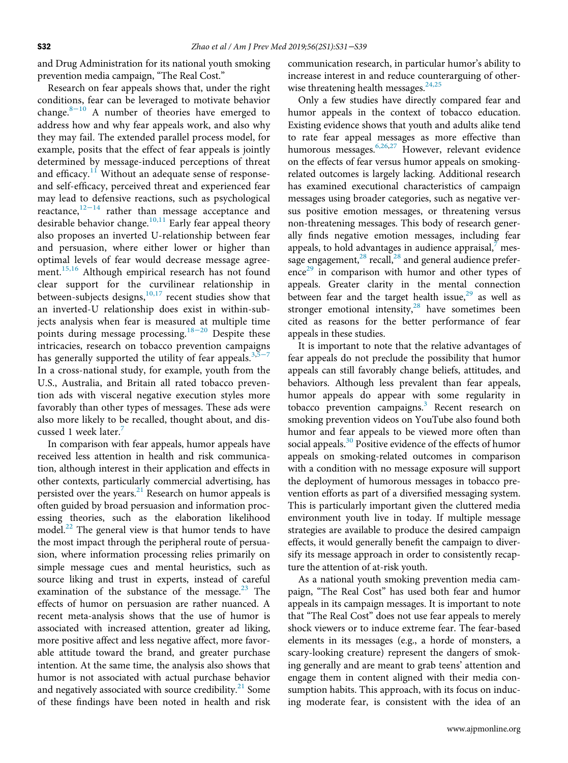and Drug Administration for its national youth smoking prevention media campaign, "The Real Cost."

Research on fear appeals shows that, under the right conditions, fear can be leveraged to motivate behavior change.8−[10](#page-7-3) A number of theories have emerged to address how and why fear appeals work, and also why they may fail. The extended parallel process model, for example, posits that the effect of fear appeals is jointly determined by message-induced perceptions of threat and efficacy.<sup>[11](#page-7-4)</sup> Without an adequate sense of responseand self-efficacy, perceived threat and experienced fear may lead to defensive reactions, such as psychological reactance, $12-14$  $12-14$  rather than message acceptance and desirable behavior change.<sup>[10,11](#page-7-6)</sup> Early fear appeal theory also proposes an inverted U-relationship between fear and persuasion, where either lower or higher than optimal levels of fear would decrease message agree-ment.<sup>[15,16](#page-7-7)</sup> Although empirical research has not found clear support for the curvilinear relationship in between-subjects designs, $10,17$  recent studies show that an inverted-U relationship does exist in within-subjects analysis when fear is measur[ed at](#page-7-8) multiple time points during message processing.18−<sup>20</sup> Despite these intricacies, research on tobacco prevention campaigns has generally supported the utility of fear appeals. $3,5-7$  $3,5-7$ In a cross-national study, for example, youth from the U.S., Australia, and Britain all rated tobacco prevention ads with visceral negative execution styles more favorably than other types of messages. These ads were also more likely to be recalled, thought about, and discussed 1 week later.

In comparison with fear appeals, humor appeals have received less attention in health and risk communication, although interest in their application and effects in other contexts, particularly commercial advertising, has persisted over the years.<sup>21</sup> Research on humor appeals is often guided by broad persuasion and information processing theories, such as the elaboration likelihood model. $^{22}$  The general view is that humor tends to have the most impact through the peripheral route of persuasion, where information processing relies primarily on simple message cues and mental heuristics, such as source liking and trust in experts, instead of careful examination of the substance of the message. $23$  The effects of humor on persuasion are rather nuanced. A recent meta-analysis shows that the use of humor is associated with increased attention, greater ad liking, more positive affect and less negative affect, more favorable attitude toward the brand, and greater purchase intention. At the same time, the analysis also shows that humor is not associated with actual purchase behavior and negatively associated with source credibility. $21$  Some of these findings have been noted in health and risk

communication research, in particular humor's ability to increase interest in and reduce counterarguing of otherwise threatening health messages. $24,25$ 

Only a few studies have directly compared fear and humor appeals in the context of tobacco education. Existing evidence shows that youth and adults alike tend to rate fear appeal messages as more effective than humorous messages.<sup>[6,26](#page-7-14)[,27](#page-7-15)</sup> However, relevant evidence on the effects of fear versus humor appeals on smokingrelated outcomes is largely lacking. Additional research has examined executional characteristics of campaign messages using broader categories, such as negative versus positive emotion messages, or threatening versus non-threatening messages. This body of research generally finds negative emotion messages, including fear appeals, to hold advantages in audience appraisal, $<sup>7</sup>$  $<sup>7</sup>$  $<sup>7</sup>$  mes-</sup> sage engagement, $^{28}$  $^{28}$  $^{28}$  recall, $^{28}$  and general audience prefer- $e^{29}$  $e^{29}$  $e^{29}$  in comparison with humor and other types of appeals. Greater clarity in the mental connection between fear and the target health issue, $29$  as well as stronger emotional intensity,<sup>[28](#page-7-16)</sup> have sometimes been cited as reasons for the better performance of fear appeals in these studies.

It is important to note that the relative advantages of fear appeals do not preclude the possibility that humor appeals can still favorably change beliefs, attitudes, and behaviors. Although less prevalent than fear appeals, humor appeals do appear with some regularity in tobacco prevention campaigns.<sup>[3](#page-7-1)</sup> Recent research on smoking prevention videos on YouTube also found both humor and fear appeals to be viewed more often than social appeals.<sup>[30](#page-7-18)</sup> Positive evidence of the effects of humor appeals on smoking-related outcomes in comparison with a condition with no message exposure will support the deployment of humorous messages in tobacco prevention efforts as part of a diversified messaging system. This is particularly important given the cluttered media environment youth live in today. If multiple message strategies are available to produce the desired campaign effects, it would generally benefit the campaign to diversify its message approach in order to consistently recapture the attention of at-risk youth.

As a national youth smoking prevention media campaign, "The Real Cost" has used both fear and humor appeals in its campaign messages. It is important to note that "The Real Cost" does not use fear appeals to merely shock viewers or to induce extreme fear. The fear-based elements in its messages (e.g., a horde of monsters, a scary-looking creature) represent the dangers of smoking generally and are meant to grab teens' attention and engage them in content aligned with their media consumption habits. This approach, with its focus on inducing moderate fear, is consistent with the idea of an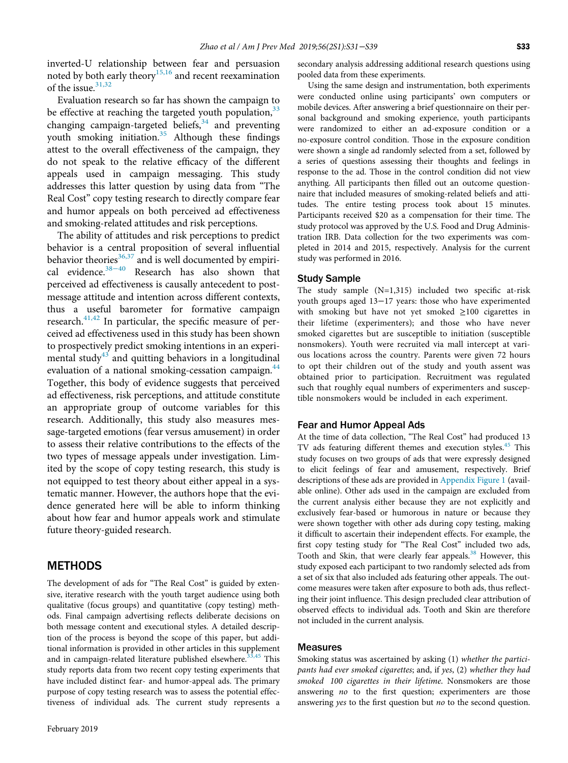inverted-U relationship between fear and persuasion noted by both early theory<sup>15,16</sup> and recent reexamination of the issue.<sup>[31,32](#page-7-19)</sup>

Evaluation research so far has shown the campaign to be effective at reaching the targeted youth population,  $33$ changing campaign-targeted beliefs, $34$  and preventing youth smoking initiation.<sup>[35](#page-8-2)</sup> Although these findings attest to the overall effectiveness of the campaign, they do not speak to the relative efficacy of the different appeals used in campaign messaging. This study addresses this latter question by using data from "The Real Cost" copy testing research to directly compare fear and humor appeals on both perceived ad effectiveness and smoking-related attitudes and risk perceptions.

The ability of attitudes and risk perceptions to predict behavior is a central proposition of several influential behavior theories $36,37$  and is well documented by empirical evidence. $38-40$  $38-40$  Research has also shown that perceived ad effectiveness is causally antecedent to postmessage attitude and intention across different contexts, thus a useful barometer for formative campaign research.<sup>[41,42](#page-8-5)</sup> In particular, the specific measure of perceived ad effectiveness used in this study has been shown to prospectively predict smoking intentions in an experi-mental study<sup>[43](#page-8-6)</sup> and quitting behaviors in a longitudinal evaluation of a national smoking-cessation campaign.<sup>[44](#page-8-7)</sup> Together, this body of evidence suggests that perceived ad effectiveness, risk perceptions, and attitude constitute an appropriate group of outcome variables for this research. Additionally, this study also measures message-targeted emotions (fear versus amusement) in order to assess their relative contributions to the effects of the two types of message appeals under investigation. Limited by the scope of copy testing research, this study is not equipped to test theory about either appeal in a systematic manner. However, the authors hope that the evidence generated here will be able to inform thinking about how fear and humor appeals work and stimulate future theory-guided research.

## **METHODS**

The development of ads for "The Real Cost" is guided by extensive, iterative research with the youth target audience using both qualitative (focus groups) and quantitative (copy testing) methods. Final campaign advertising reflects deliberate decisions on both message content and executional styles. A detailed description of the process is beyond the scope of this paper, but additional information is provided in other articles in this supplement and in campaign-related literature published elsewhere.<sup>[33,45](#page-8-0)</sup> This study reports data from two recent copy testing experiments that have included distinct fear- and humor-appeal ads. The primary purpose of copy testing research was to assess the potential effectiveness of individual ads. The current study represents a

secondary analysis addressing additional research questions using pooled data from these experiments.

Using the same design and instrumentation, both experiments were conducted online using participants' own computers or mobile devices. After answering a brief questionnaire on their personal background and smoking experience, youth participants were randomized to either an ad-exposure condition or a no-exposure control condition. Those in the exposure condition were shown a single ad randomly selected from a set, followed by a series of questions assessing their thoughts and feelings in response to the ad. Those in the control condition did not view anything. All participants then filled out an outcome questionnaire that included measures of smoking-related beliefs and attitudes. The entire testing process took about 15 minutes. Participants received \$20 as a compensation for their time. The study protocol was approved by the U.S. Food and Drug Administration IRB. Data collection for the two experiments was completed in 2014 and 2015, respectively. Analysis for the current study was performed in 2016.

#### Study Sample

The study sample (N=1,315) included two specific at-risk youth groups aged 13−17 years: those who have experimented with smoking but have not yet smoked ≥100 cigarettes in their lifetime (experimenters); and those who have never smoked cigarettes but are susceptible to initiation (susceptible nonsmokers). Youth were recruited via mall intercept at various locations across the country. Parents were given 72 hours to opt their children out of the study and youth assent was obtained prior to participation. Recruitment was regulated such that roughly equal numbers of experimenters and susceptible nonsmokers would be included in each experiment.

#### Fear and Humor Appeal Ads

At the time of data collection, "The Real Cost" had produced 13 TV ads featuring different themes and execution styles.<sup>[45](#page-8-8)</sup> This study focuses on two groups of ads that were expressly designed to elicit feelings of fear and amusement, respectively. Brief descriptions of these ads are provided in [Appendix Figure 1](#page-7-20) (available online). Other ads used in the campaign are excluded from the current analysis either because they are not explicitly and exclusively fear-based or humorous in nature or because they were shown together with other ads during copy testing, making it difficult to ascertain their independent effects. For example, the first copy testing study for "The Real Cost" included two ads, Tooth and Skin, that were clearly fear appeals.<sup>[38](#page-8-4)</sup> However, this study exposed each participant to two randomly selected ads from a set of six that also included ads featuring other appeals. The outcome measures were taken after exposure to both ads, thus reflecting their joint influence. This design precluded clear attribution of observed effects to individual ads. Tooth and Skin are therefore not included in the current analysis.

#### Measures

Smoking status was ascertained by asking (1) whether the participants had ever smoked cigarettes; and, if yes, (2) whether they had smoked 100 cigarettes in their lifetime. Nonsmokers are those answering no to the first question; experimenters are those answering yes to the first question but no to the second question.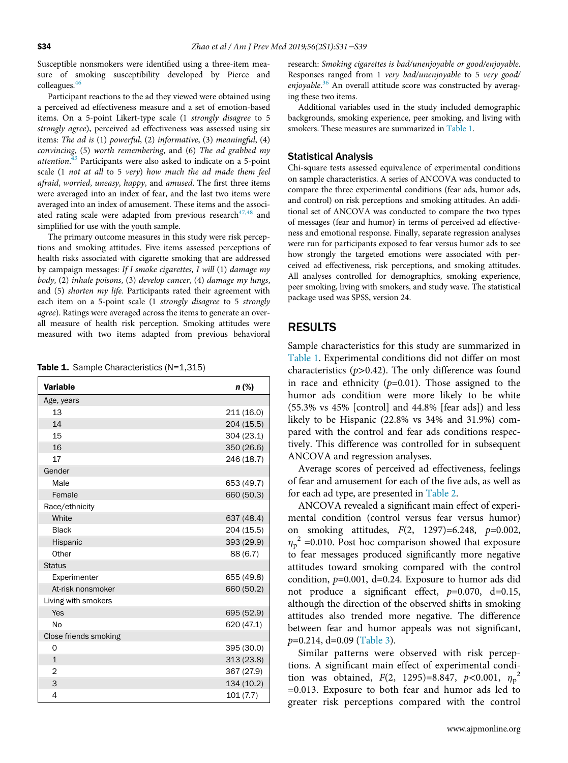Susceptible nonsmokers were identified using a three-item measure of smoking susceptibility developed by Pierce and colleagues.[46](#page-8-9)

Participant reactions to the ad they viewed were obtained using a perceived ad effectiveness measure and a set of emotion-based items. On a 5-point Likert-type scale (1 strongly disagree to 5 strongly agree), perceived ad effectiveness was assessed using six items: The ad is (1) powerful, (2) informative, (3) meaningful, (4) convincing, (5) worth remembering, and (6) The ad grabbed my attention.<sup>[43](#page-8-6)</sup> Participants were also asked to indicate on a 5-point scale (1 not at all to 5 very) how much the ad made them feel afraid, worried, uneasy, happy, and amused. The first three items were averaged into an index of fear, and the last two items were averaged into an index of amusement. These items and the associated rating scale were adapted from previous research $47,48$  and simplified for use with the youth sample.

The primary outcome measures in this study were risk perceptions and smoking attitudes. Five items assessed perceptions of health risks associated with cigarette smoking that are addressed by campaign messages: If I smoke cigarettes, I will (1) damage my body, (2) inhale poisons, (3) develop cancer, (4) damage my lungs, and (5) shorten my life. Participants rated their agreement with each item on a 5-point scale (1 strongly disagree to 5 strongly agree). Ratings were averaged across the items to generate an overall measure of health risk perception. Smoking attitudes were measured with two items adapted from previous behavioral

<span id="page-3-0"></span>Table 1. Sample Characteristics (N=1,315)

| <b>Variable</b>       | $n$ (%)    |
|-----------------------|------------|
| Age, years            |            |
| 13                    | 211(16.0)  |
| 14                    | 204 (15.5) |
| 15                    | 304 (23.1) |
| 16                    | 350 (26.6) |
| 17                    | 246 (18.7) |
| Gender                |            |
| Male                  | 653 (49.7) |
| Female                | 660 (50.3) |
| Race/ethnicity        |            |
| White                 | 637 (48.4) |
| <b>Black</b>          | 204 (15.5) |
| Hispanic              | 393 (29.9) |
| Other                 | 88 (6.7)   |
| <b>Status</b>         |            |
| Experimenter          | 655 (49.8) |
| At-risk nonsmoker     | 660 (50.2) |
| Living with smokers   |            |
| Yes                   | 695 (52.9) |
| No                    | 620 (47.1) |
| Close friends smoking |            |
| $\Omega$              | 395 (30.0) |
| $\mathbf{1}$          | 313 (23.8) |
| $\overline{2}$        | 367 (27.9) |
| 3                     | 134 (10.2) |
| 4                     | 101(7.7)   |

research: Smoking cigarettes is bad/unenjoyable or good/enjoyable. Responses ranged from 1 very bad/unenjoyable to 5 very good/ enjoyable.<sup>[36](#page-8-3)</sup> An overall attitude score was constructed by averaging these two items.

Additional variables used in the study included demographic backgrounds, smoking experience, peer smoking, and living with smokers. These measures are summarized in [Table 1](#page-3-0).

#### Statistical Analysis

Chi-square tests assessed equivalence of experimental conditions on sample characteristics. A series of ANCOVA was conducted to compare the three experimental conditions (fear ads, humor ads, and control) on risk perceptions and smoking attitudes. An additional set of ANCOVA was conducted to compare the two types of messages (fear and humor) in terms of perceived ad effectiveness and emotional response. Finally, separate regression analyses were run for participants exposed to fear versus humor ads to see how strongly the targeted emotions were associated with perceived ad effectiveness, risk perceptions, and smoking attitudes. All analyses controlled for demographics, smoking experience, peer smoking, living with smokers, and study wave. The statistical package used was SPSS, version 24.

#### RESULTS

Sample characteristics for this study are summarized in [Table 1](#page-3-0). Experimental conditions did not differ on most characteristics  $(p>0.42)$ . The only difference was found in race and ethnicity  $(p=0.01)$ . Those assigned to the humor ads condition were more likely to be white (55.3% vs 45% [control] and 44.8% [fear ads]) and less likely to be Hispanic (22.8% vs 34% and 31.9%) compared with the control and fear ads conditions respectively. This difference was controlled for in subsequent ANCOVA and regression analyses.

Average scores of perceived ad effectiveness, feelings of fear and amusement for each of the five ads, as well as for each ad type, are presented in [Table 2.](#page-4-0)

ANCOVA revealed a significant main effect of experimental condition (control versus fear versus humor) on smoking attitudes,  $F(2, 1297)=6.248, p=0.002,$  $\eta_p^2$  =0.010. Post hoc comparison showed that exposure to fear messages produced significantly more negative attitudes toward smoking compared with the control condition,  $p=0.001$ , d=0.24. Exposure to humor ads did not produce a significant effect,  $p=0.070$ , d=0.15, although the direction of the observed shifts in smoking attitudes also trended more negative. The difference between fear and humor appeals was not significant,  $p=0.214$ , d=0.09 [\(Table 3\)](#page-4-1).

Similar patterns were observed with risk perceptions. A significant main effect of experimental condition was obtained,  $F(2, 1295)=8.847, p<0.001, \eta_p^2$ =0.013. Exposure to both fear and humor ads led to greater risk perceptions compared with the control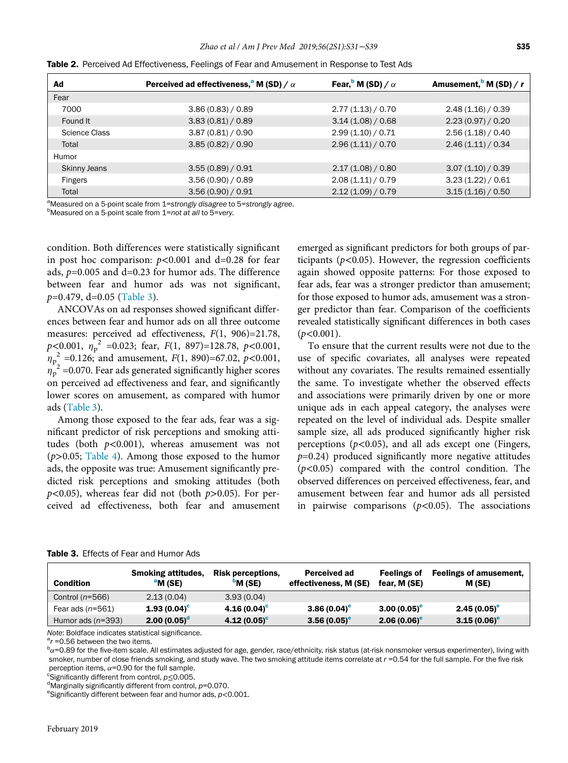| Ad                  | Perceived ad effectiveness, <sup>a</sup> M (SD) / $\alpha$ | Fear, $\mathbf{M}$ (SD) / $\alpha$ | Amusement, $\frac{b}{c}$ M (SD) / r |
|---------------------|------------------------------------------------------------|------------------------------------|-------------------------------------|
| Fear                |                                                            |                                    |                                     |
| 7000                | 3.86(0.83)/0.89                                            | 2.77(1.13)/0.70                    | 2.48(1.16)/0.39                     |
| Found It            | 3.83(0.81)/0.89                                            | 3.14(1.08)/0.68                    | 2.23(0.97)/0.20                     |
| Science Class       | 3.87(0.81)/0.90                                            | 2.99(1.10)/0.71                    | 2.56(1.18)/0.40                     |
| Total               | 3.85(0.82)/0.90                                            | 2.96(1.11)/0.70                    | 2.46(1.11)/0.34                     |
| Humor               |                                                            |                                    |                                     |
| <b>Skinny Jeans</b> | 3.55(0.89)/0.91                                            | 2.17(1.08)/0.80                    | 3.07(1.10)/0.39                     |
| <b>Fingers</b>      | 3.56(0.90)/0.89                                            | 2.08(1.11)/0.79                    | 3.23(1.22)/0.61                     |
| Total               | 3.56(0.90)/0.91                                            | 2.12(1.09)/0.79                    | 3.15(1.16)/0.50                     |

<span id="page-4-0"></span>Table 2. Perceived Ad Effectiveness, Feelings of Fear and Amusement in Response to Test Ads

<span id="page-4-2"></span>a<br>Measured on a 5-point scale from 1=strongly disagree to 5=strongly agree.<br>PMeasured on a 5-point scale from 1=pot at all to 5=yery.  $b$ Measured on a 5-point scale from 1=not at all to 5=very.

condition. Both differences were statistically significant in post hoc comparison:  $p<0.001$  and d=0.28 for fear ads,  $p=0.005$  and d=0.23 for humor ads. The difference between fear and humor ads was not significant,  $p=0.479$ , d=0.05 ([Table 3\)](#page-4-1).

ANCOVAs on ad responses showed significant differences between fear and humor ads on all three outcome measures: perceived ad effectiveness,  $F(1, 906)=21.78$ ,  $p<0.001$ ,  $\eta_{p}^{2}$  =0.023; fear,  $F(1, 897)=128.78$ ,  $p<0.001$ ,  $h_{p}^{2}$  =0.126; and amusement,  $F(1, 890)$ =67.02,  $p$ <0.001,  $\eta_p^2$  =0.070. Fear ads generated significantly higher scores on perceived ad effectiveness and fear, and significantly lower scores on amusement, as compared with humor ads ([Table 3](#page-4-1)).

Among those exposed to the fear ads, fear was a significant predictor of risk perceptions and smoking attitudes (both  $p<0.001$ ), whereas amusement was not  $(p>0.05;$  [Table 4\)](#page-5-0). Among those exposed to the humor ads, the opposite was true: Amusement significantly predicted risk perceptions and smoking attitudes (both  $p<0.05$ ), whereas fear did not (both  $p>0.05$ ). For perceived ad effectiveness, both fear and amusement emerged as significant predictors for both groups of participants ( $p$ <0.05). However, the regression coefficients again showed opposite patterns: For those exposed to fear ads, fear was a stronger predictor than amusement; for those exposed to humor ads, amusement was a stronger predictor than fear. Comparison of the coefficients revealed statistically significant differences in both cases  $(p<0.001)$ .

To ensure that the current results were not due to the use of specific covariates, all analyses were repeated without any covariates. The results remained essentially the same. To investigate whether the observed effects and associations were primarily driven by one or more unique ads in each appeal category, the analyses were repeated on the level of individual ads. Despite smaller sample size, all ads produced significantly higher risk perceptions ( $p$ <0.05), and all ads except one (Fingers,  $p=0.24$ ) produced significantly more negative attitudes  $(p<0.05)$  compared with the control condition. The observed differences on perceived effectiveness, fear, and amusement between fear and humor ads all persisted in pairwise comparisons  $(p<0.05)$ . The associations

<span id="page-4-1"></span>

| <b>Table 3.</b> Effects of Fear and Humor Ads |  |  |  |  |  |
|-----------------------------------------------|--|--|--|--|--|
|-----------------------------------------------|--|--|--|--|--|

| <b>Condition</b>    | <b>Smoking attitudes,</b><br>$^{\circ}$ M (SE) | <b>Risk perceptions.</b><br><sup>b</sup> M (SE) | <b>Perceived ad</b><br>effectiveness, M (SE) | <b>Feelings of</b><br>fear. M (SE) | <b>Feelings of amusement,</b><br>M (SE) |
|---------------------|------------------------------------------------|-------------------------------------------------|----------------------------------------------|------------------------------------|-----------------------------------------|
| Control $(n=566)$   | 2.13(0.04)                                     | 3.93(0.04)                                      |                                              |                                    |                                         |
| Fear ads $(n=561)$  | $1.93(0.04)^c$                                 | $4.16(0.04)^c$                                  | $3.86(0.04)$ <sup>e</sup>                    | $3.00(0.05)^e$                     | $2.45(0.05)^e$                          |
| Humor ads $(n=393)$ | $2.00(0.05)^d$                                 | $4.12(0.05)^c$                                  | $3.56(0.05)^e$                               | $2.06(0.06)^e$                     | $3.15(0.06)$ <sup>e</sup>               |

<span id="page-4-3"></span>Note: Boldface indicates statistical significance.

 $\alpha$ <sup>a</sup>r =0.56 between the two items.

 $b_{\alpha}=0.89$  for the five-item scale. All estimates adjusted for age, gender, race/ethnicity, risk status (at-risk nonsmoker versus experimenter), living with smoker, number of close friends smoking, and study wave. The two smoking attitude items correlate at  $r = 0.54$  for the full sample. For the five risk perception items,  $\alpha$ =0.90 for the full sample.

<span id="page-4-6"></span><span id="page-4-4"></span>Significantly different from control,  $p \leq 0.005$ .

<span id="page-4-5"></span> $d$ Marginally significantly different from control,  $p=0.070$ .

<sup>e</sup>Significantly different between fear and humor ads,  $p < 0.001$ .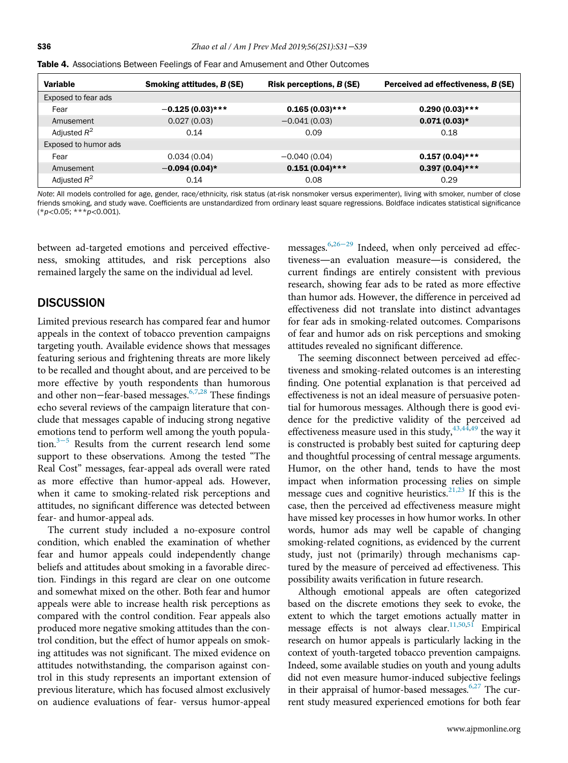| <b>Variable</b>      | <b>Smoking attitudes, B (SE)</b> | <b>Risk perceptions, B (SE)</b> | Perceived ad effectiveness, B (SE) |
|----------------------|----------------------------------|---------------------------------|------------------------------------|
| Exposed to fear ads  |                                  |                                 |                                    |
| Fear                 | $-0.125(0.03)$ ***               | $0.165(0.03)$ ***               | $0.290(0.03)$ ***                  |
| Amusement            | 0.027(0.03)                      | $-0.041(0.03)$                  | $0.071(0.03)*$                     |
| Adjusted $R^2$       | 0.14                             | 0.09                            | 0.18                               |
| Exposed to humor ads |                                  |                                 |                                    |
| Fear                 | 0.034(0.04)                      | $-0.040(0.04)$                  | $0.157(0.04)$ ***                  |
| Amusement            | $-0.094(0.04)*$                  | $0.151(0.04)$ ***               | $0.397(0.04)$ ***                  |
| Adjusted $R^2$       | 0.14                             | 0.08                            | 0.29                               |

<span id="page-5-0"></span>

Note: All models controlled for age, gender, race/ethnicity, risk status (at-risk nonsmoker versus experimenter), living with smoker, number of close friends smoking, and study wave. Coefficients are unstandardized from ordinary least square regressions. Boldface indicates statistical significance  $(*p<0.05; **p<0.001).$ 

between ad-targeted emotions and perceived effectiveness, smoking attitudes, and risk perceptions also remained largely the same on the individual ad level.

#### **DISCUSSION**

Limited previous research has compared fear and humor appeals in the context of tobacco prevention campaigns targeting youth. Available evidence shows that messages featuring serious and frightening threats are more likely to be recalled and thought about, and are perceived to be more effective by youth respondents than humorous and other non–fear-based messages.<sup>[6,7](#page-7-14),[28](#page-7-16)</sup> These findings echo several reviews of the campaign literature that conclude that messages capable of inducing strong negative emotions tend to perform well among the youth popula-tion.<sup>3[−](#page-7-1)5</sup> Results from the current research lend some support to these observations. Among the tested "The Real Cost" messages, fear-appeal ads overall were rated as more effective than humor-appeal ads. However, when it came to smoking-related risk perceptions and attitudes, no significant difference was detected between fear- and humor-appeal ads.

The current study included a no-exposure control condition, which enabled the examination of whether fear and humor appeals could independently change beliefs and attitudes about smoking in a favorable direction. Findings in this regard are clear on one outcome and somewhat mixed on the other. Both fear and humor appeals were able to increase health risk perceptions as compared with the control condition. Fear appeals also produced more negative smoking attitudes than the control condition, but the effect of humor appeals on smoking attitudes was not significant. The mixed evidence on attitudes notwithstanding, the comparison against control in this study represents an important extension of previous literature, which has focused almost exclusively on audience evaluations of fear- versus humor-appeal

messages.<sup>6,[26](#page-7-21)−29</sup> Indeed, when only perceived ad effectiveness—an evaluation measure—is considered, the current findings are entirely consistent with previous research, showing fear ads to be rated as more effective than humor ads. However, the difference in perceived ad effectiveness did not translate into distinct advantages for fear ads in smoking-related outcomes. Comparisons of fear and humor ads on risk perceptions and smoking attitudes revealed no significant difference.

The seeming disconnect between perceived ad effectiveness and smoking-related outcomes is an interesting finding. One potential explanation is that perceived ad effectiveness is not an ideal measure of persuasive potential for humorous messages. Although there is good evidence for the predictive validity of the perceived ad effectiveness measure used in this study,  $43,44,49$  $43,44,49$  the way it is constructed is probably best suited for capturing deep and thoughtful processing of central message arguments. Humor, on the other hand, tends to have the most impact when information processing relies on simple message cues and cognitive heuristics.<sup>[21,23](#page-7-10)</sup> If this is the case, then the perceived ad effectiveness measure might have missed key processes in how humor works. In other words, humor ads may well be capable of changing smoking-related cognitions, as evidenced by the current study, just not (primarily) through mechanisms captured by the measure of perceived ad effectiveness. This possibility awaits verification in future research.

Although emotional appeals are often categorized based on the discrete emotions they seek to evoke, the extent to which the target emotions actually matter in message effects is not always clear.<sup>[11,50](#page-7-4),[51](#page-8-12)</sup> Empirical research on humor appeals is particularly lacking in the context of youth-targeted tobacco prevention campaigns. Indeed, some available studies on youth and young adults did not even measure humor-induced subjective feelings in their appraisal of humor-based messages.<sup>[6,27](#page-7-14)</sup> The current study measured experienced emotions for both fear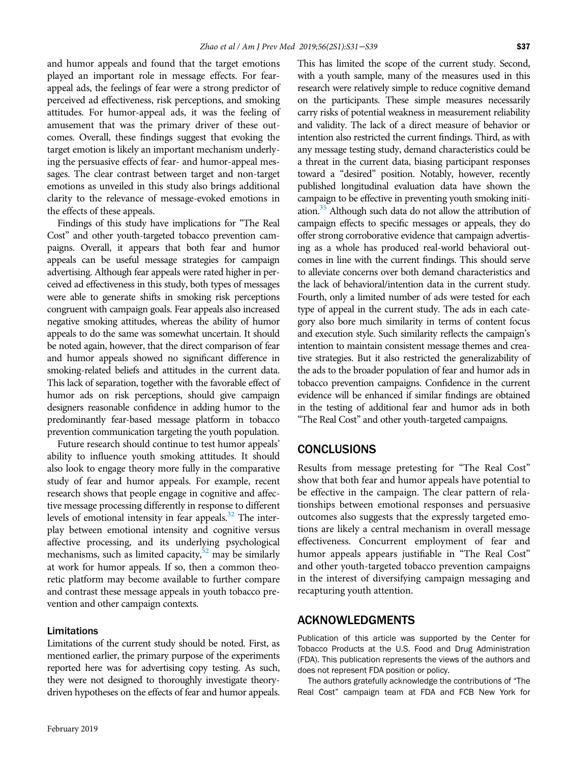and humor appeals and found that the target emotions played an important role in message effects. For fearappeal ads, the feelings of fear were a strong predictor of perceived ad effectiveness, risk perceptions, and smoking attitudes. For humor-appeal ads, it was the feeling of amusement that was the primary driver of these outcomes. Overall, these findings suggest that evoking the target emotion is likely an important mechanism underlying the persuasive effects of fear- and humor-appeal messages. The clear contrast between target and non-target emotions as unveiled in this study also brings additional clarity to the relevance of message-evoked emotions in the effects of these appeals.

Findings of this study have implications for "The Real Cost" and other youth-targeted tobacco prevention campaigns. Overall, it appears that both fear and humor appeals can be useful message strategies for campaign advertising. Although fear appeals were rated higher in perceived ad effectiveness in this study, both types of messages were able to generate shifts in smoking risk perceptions congruent with campaign goals. Fear appeals also increased negative smoking attitudes, whereas the ability of humor appeals to do the same was somewhat uncertain. It should be noted again, however, that the direct comparison of fear and humor appeals showed no significant difference in smoking-related beliefs and attitudes in the current data. This lack of separation, together with the favorable effect of humor ads on risk perceptions, should give campaign designers reasonable confidence in adding humor to the predominantly fear-based message platform in tobacco prevention communication targeting the youth population.

Future research should continue to test humor appeals' ability to influence youth smoking attitudes. It should also look to engage theory more fully in the comparative study of fear and humor appeals. For example, recent research shows that people engage in cognitive and affective message processing differently in response to different levels of emotional intensity in fear appeals.<sup>[32](#page-7-22)</sup> The interplay between emotional intensity and cognitive versus affective processing, and its underlying psychological mechanisms, such as limited capacity, $52$  may be similarly at work for humor appeals. If so, then a common theoretic platform may become available to further compare and contrast these message appeals in youth tobacco prevention and other campaign contexts.

#### Limitations

Limitations of the current study should be noted. First, as mentioned earlier, the primary purpose of the experiments reported here was for advertising copy testing. As such, they were not designed to thoroughly investigate theorydriven hypotheses on the effects of fear and humor appeals.

This has limited the scope of the current study. Second, with a youth sample, many of the measures used in this research were relatively simple to reduce cognitive demand on the participants. These simple measures necessarily carry risks of potential weakness in measurement reliability and validity. The lack of a direct measure of behavior or intention also restricted the current findings. Third, as with any message testing study, demand characteristics could be a threat in the current data, biasing participant responses toward a "desired" position. Notably, however, recently published longitudinal evaluation data have shown the campaign to be effective in preventing youth smoking initiation.<sup>35</sup> Although such data do not allow the attribution of campaign effects to specific messages or appeals, they do offer strong corroborative evidence that campaign advertising as a whole has produced real-world behavioral outcomes in line with the current findings. This should serve to alleviate concerns over both demand characteristics and the lack of behavioral/intention data in the current study. Fourth, only a limited number of ads were tested for each type of appeal in the current study. The ads in each category also bore much similarity in terms of content focus and execution style. Such similarity reflects the campaign's intention to maintain consistent message themes and creative strategies. But it also restricted the generalizability of the ads to the broader population of fear and humor ads in tobacco prevention campaigns. Confidence in the current evidence will be enhanced if similar findings are obtained in the testing of additional fear and humor ads in both "The Real Cost" and other youth-targeted campaigns.

#### CONCLUSIONS

Results from message pretesting for "The Real Cost" show that both fear and humor appeals have potential to be effective in the campaign. The clear pattern of relationships between emotional responses and persuasive outcomes also suggests that the expressly targeted emotions are likely a central mechanism in overall message effectiveness. Concurrent employment of fear and humor appeals appears justifiable in "The Real Cost" and other youth-targeted tobacco prevention campaigns in the interest of diversifying campaign messaging and recapturing youth attention.

#### ACKNOWLEDGMENTS

Publication of this article was supported by the Center for Tobacco Products at the U.S. Food and Drug Administration (FDA). This publication represents the views of the authors and does not represent FDA position or policy.

The authors gratefully acknowledge the contributions of "The Real Cost" campaign team at FDA and FCB New York for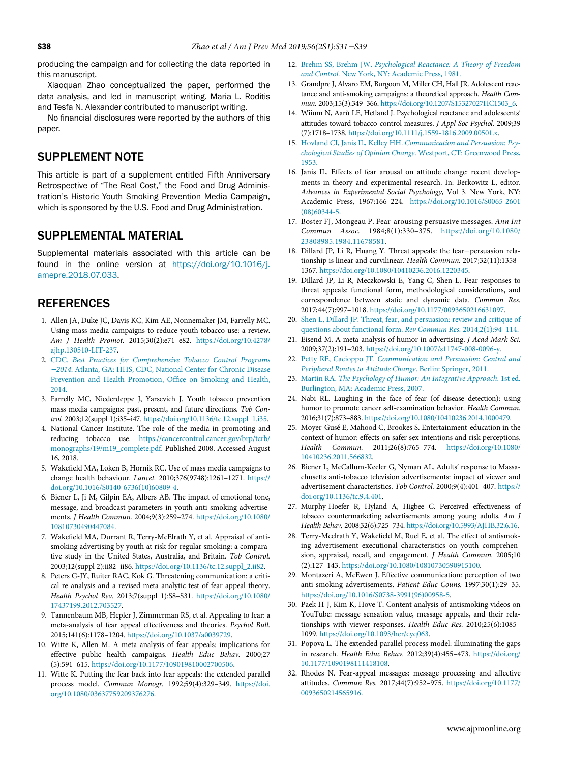<span id="page-7-5"></span>producing the campaign and for collecting the data reported in this manuscript.

Xiaoquan Zhao conceptualized the paper, performed the data analysis, and led in manuscript writing. Maria L. Roditis and Tesfa N. Alexander contributed to manuscript writing.

No financial disclosures were reported by the authors of this paper.

## <span id="page-7-7"></span>SUPPLEMENT NOTE

This article is part of a supplement entitled Fifth Anniversary Retrospective of "The Real Cost," the Food and Drug Administration's Historic Youth Smoking Prevention Media Campaign, which is sponsored by the U.S. Food and Drug Administration.

### <span id="page-7-20"></span>SUPPLEMENTAL MATERIAL

<span id="page-7-8"></span>Supplemental materials associated with this article can be found in the online version at [https://doi.org/10.1016/j.](https://doi.org/10.1016/j.amepre.2018.07.033) [amepre.2018.07.033.](https://doi.org/10.1016/j.amepre.2018.07.033)

## REFERENCES

- <span id="page-7-10"></span><span id="page-7-0"></span>1. Allen JA, Duke JC, Davis KC, Kim AE, Nonnemaker JM, Farrelly MC. Using mass media campaigns to reduce youth tobacco use: a review. Am J Health Promot. 2015;30(2):e71–e82. [https://doi.org/10.4278/](https://doi.org/10.4278/ajhp.130510-LIT-237) [ajhp.130510-LIT-237.](https://doi.org/10.4278/ajhp.130510-LIT-237)
- <span id="page-7-12"></span><span id="page-7-11"></span>2. CDC. [Best Practices for Comprehensive Tobacco Control Programs](http://refhub.elsevier.com/S0749-3797(18)32176-7/sbref0002) <sup>−</sup>2014[. Atlanta, GA: HHS, CDC, National Center for Chronic Disease](http://refhub.elsevier.com/S0749-3797(18)32176-7/sbref0002) [Prevention and Health Promotion, Of](http://refhub.elsevier.com/S0749-3797(18)32176-7/sbref0002)fice on Smoking and Health, [2014.](http://refhub.elsevier.com/S0749-3797(18)32176-7/sbref0002)
- <span id="page-7-13"></span><span id="page-7-1"></span>3. Farrelly MC, Niederdeppe J, Yarsevich J. Youth tobacco prevention mass media campaigns: past, present, and future directions. Tob Control. 2003;12(suppl 1):i35–i47. [https://doi.org/10.1136/tc.12.suppl\\_1.i35.](https://doi.org/10.1136/tc.12.suppl_1.i35)
- 4. National Cancer Institute. The role of the media in promoting and reducing tobacco use. [https://cancercontrol.cancer.gov/brp/tcrb/](https://cancercontrol.cancer.gov/brp/tcrb/monographs/19/m19_complete.pdf) [monographs/19/m19\\_complete.pdf](https://cancercontrol.cancer.gov/brp/tcrb/monographs/19/m19_complete.pdf). Published 2008. Accessed August 16, 2018.
- <span id="page-7-21"></span><span id="page-7-2"></span>5. Wakefield MA, Loken B, Hornik RC. Use of mass media campaigns to change health behaviour. Lancet. 2010;376(9748):1261–1271. [https://](https://doi.org/10.1016/S0140-6736(10)60809-4) [doi.org/10.1016/S0140-6736\(10\)60809-4](https://doi.org/10.1016/S0140-6736(10)60809-4).
- <span id="page-7-15"></span><span id="page-7-14"></span>6. Biener L, Ji M, Gilpin EA, Albers AB. The impact of emotional tone, message, and broadcast parameters in youth anti-smoking advertisements. J Health Commun. 2004;9(3):259–274. [https://doi.org/10.1080/](https://doi.org/10.1080/10810730490447084) [10810730490447084](https://doi.org/10.1080/10810730490447084).
- <span id="page-7-16"></span><span id="page-7-9"></span>7. Wakefield MA, Durrant R, Terry-McElrath Y, et al. Appraisal of antismoking advertising by youth at risk for regular smoking: a comparative study in the United States, Australia, and Britain. Tob Control. 2003;12(suppl 2):ii82–ii86. [https://doi.org/10.1136/tc.12.suppl\\_2.ii82.](https://doi.org/10.1136/tc.12.suppl_2.ii82)
- <span id="page-7-17"></span><span id="page-7-3"></span>8. Peters G-JY, Ruiter RAC, Kok G. Threatening communication: a critical re-analysis and a revised meta-analytic test of fear appeal theory. Health Psychol Rev. 2013;7(suppl 1):S8–S31. [https://doi.org/10.1080/](https://doi.org/10.1080/17437199.2012.703527) [17437199.2012.703527](https://doi.org/10.1080/17437199.2012.703527).
- <span id="page-7-18"></span>9. Tannenbaum MB, Hepler J, Zimmerman RS, et al. Appealing to fear: a meta-analysis of fear appeal effectiveness and theories. Psychol Bull. 2015;141(6):1178–1204. <https://doi.org/10.1037/a0039729>.
- <span id="page-7-19"></span><span id="page-7-6"></span>10. Witte K, Allen M. A meta-analysis of fear appeals: implications for effective public health campaigns. Health Educ Behav. 2000;27 (5):591–615. [https://doi.org/10.1177/109019810002700506.](https://doi.org/10.1177/109019810002700506)
- <span id="page-7-22"></span><span id="page-7-4"></span>11. Witte K. Putting the fear back into fear appeals: the extended parallel process model. Commun Monogr. 1992;59(4):329–349. [https://doi.](https://doi.org/10.1080/03637759209376276) [org/10.1080/03637759209376276](https://doi.org/10.1080/03637759209376276).
- 12. Brehm SS, Brehm JW. [Psychological Reactance: A Theory of Freedom](http://refhub.elsevier.com/S0749-3797(18)32176-7/sbref0011) and Control[. New York, NY: Academic Press, 1981.](http://refhub.elsevier.com/S0749-3797(18)32176-7/sbref0011)
- 13. Grandpre J, Alvaro EM, Burgoon M, Miller CH, Hall JR. Adolescent reactance and anti-smoking campaigns: a theoretical approach. Health Commun. 2003;15(3):349–366. [https://doi.org/10.1207/S15327027HC1503\\_6](https://doi.org/10.1207/S15327027HC1503_6).
- 14. Wiium N, Aarù LE, Hetland J. Psychological reactance and adolescents' attitudes toward tobacco-control measures. J Appl Soc Psychol. 2009;39 (7):1718–1738. [https://doi.org/10.1111/j.1559-1816.2009.00501.x.](https://doi.org/10.1111/j.1559-1816.2009.00501.x)
- 15. Hovland CI, Janis IL, Kelley HH. [Communication and Persuasion: Psy](http://refhub.elsevier.com/S0749-3797(18)32176-7/sbref0014)[chological Studies of Opinion Change](http://refhub.elsevier.com/S0749-3797(18)32176-7/sbref0014). Westport, CT: Greenwood Press, [1953.](http://refhub.elsevier.com/S0749-3797(18)32176-7/sbref0014)
- 16. Janis IL. Effects of fear arousal on attitude change: recent developments in theory and experimental research. In: Berkowitz L, editor. Advances in Experimental Social Psychology, Vol 3. New York, NY: Academic Press, 1967:166–224. [https://doi.org/10.1016/S0065-2601](https://doi.org/10.1016/S0065-2601(08)60344-5) [\(08\)60344-5](https://doi.org/10.1016/S0065-2601(08)60344-5).
- 17. Boster FJ, Mongeau P. Fear-arousing persuasive messages. Ann Int Commun Assoc. 1984;8(1):330–375. [https://doi.org/10.1080/](https://doi.org/10.1080/23808985.1984.11678581) [23808985.1984.11678581](https://doi.org/10.1080/23808985.1984.11678581).
- 18. Dillard JP, Li R, Huang Y. Threat appeals: the fear−persuasion relationship is linear and curvilinear. Health Commun. 2017;32(11):1358– 1367. <https://doi.org/10.1080/10410236.2016.1220345>.
- 19. Dillard JP, Li R, Meczkowski E, Yang C, Shen L. Fear responses to threat appeals: functional form, methodological considerations, and correspondence between static and dynamic data. Commun Res. 2017;44(7):997–1018. <https://doi.org/10.1177/0093650216631097>.
- 20. [Shen L, Dillard JP. Threat, fear, and persuasion: review and critique of](http://refhub.elsevier.com/S0749-3797(18)32176-7/sbref0019) [questions about functional form.](http://refhub.elsevier.com/S0749-3797(18)32176-7/sbref0019) Rev Commun Res. 2014;2(1):94–114.
- 21. Eisend M. A meta-analysis of humor in advertising. J Acad Mark Sci. 2009;37(2):191–203. <https://doi.org/10.1007/s11747-008-0096-y>.
- 22. Petty RE, Cacioppo JT. [Communication and Persuasion: Central and](http://refhub.elsevier.com/S0749-3797(18)32176-7/sbref0021) [Peripheral Routes to Attitude Change](http://refhub.elsevier.com/S0749-3797(18)32176-7/sbref0021). Berlin: Springer, 2011.
- 23. Martin RA. [The Psychology of Humor: An Integrative Approach](http://refhub.elsevier.com/S0749-3797(18)32176-7/sbref0022). 1st ed. [Burlington, MA: Academic Press, 2007.](http://refhub.elsevier.com/S0749-3797(18)32176-7/sbref0022)
- 24. Nabi RL. Laughing in the face of fear (of disease detection): using humor to promote cancer self-examination behavior. Health Commun. 2016;31(7):873–883. <https://doi.org/10.1080/10410236.2014.1000479>.
- 25. Moyer-Guse E, Mahood C, Brookes S. Entertainment-education in the context of humor: effects on safer sex intentions and risk perceptions. Health Commun. 2011;26(8):765–774. [https://doi.org/10.1080/](https://doi.org/10.1080/10410236.2011.566832) [10410236.2011.566832](https://doi.org/10.1080/10410236.2011.566832).
- 26. Biener L, McCallum-Keeler G, Nyman AL. Adults' response to Massachusetts anti-tobacco television advertisements: impact of viewer and advertisement characteristics. Tob Control. 2000;9(4):401–407. [https://](https://doi.org/10.1136/tc.9.4.401) [doi.org/10.1136/tc.9.4.401.](https://doi.org/10.1136/tc.9.4.401)
- 27. Murphy-Hoefer R, Hyland A, Higbee C. Perceived effectiveness of tobacco countermarketing advertisements among young adults. Am J Health Behav. 2008;32(6):725–734. [https://doi.org/10.5993/AJHB.32.6.16.](https://doi.org/10.5993/AJHB.32.6.16)
- 28. Terry-Mcelrath Y, Wakefield M, Ruel E, et al. The effect of antismoking advertisement executional characteristics on youth comprehension, appraisal, recall, and engagement. J Health Commun. 2005;10 (2):127–143. [https://doi.org/10.1080/10810730590915100.](https://doi.org/10.1080/10810730590915100)
- 29. Montazeri A, McEwen J. Effective communication: perception of two anti-smoking advertisements. Patient Educ Couns. 1997;30(1):29–35. [https://doi.org/10.1016/S0738-3991\(96\)00958-5](https://doi.org/10.1016/S0738-3991(96)00958-5).
- 30. Paek H-J, Kim K, Hove T. Content analysis of antismoking videos on YouTube: message sensation value, message appeals, and their relationships with viewer responses. Health Educ Res. 2010;25(6):1085– 1099. [https://doi.org/10.1093/her/cyq063.](https://doi.org/10.1093/her/cyq063)
- 31. Popova L. The extended parallel process model: illuminating the gaps in research. Health Educ Behav. 2012;39(4):455–473. [https://doi.org/](https://doi.org/10.1177/1090198111418108) [10.1177/1090198111418108.](https://doi.org/10.1177/1090198111418108)
- 32. Rhodes N. Fear-appeal messages: message processing and affective attitudes. Commun Res. 2017;44(7):952–975. [https://doi.org/10.1177/](https://doi.org/10.1177/0093650214565916) [0093650214565916](https://doi.org/10.1177/0093650214565916).